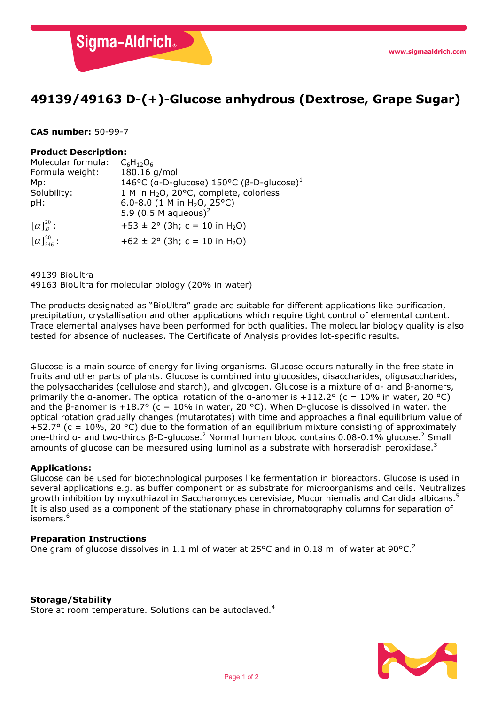**Sigma-Aldrich** 

# **49139/49163 D-(+)-Glucose anhydrous (Dextrose, Grape Sugar)**

## **CAS number:** 50-99-7

## **Product Description:**

| Molecular formula:                | $C_6H_{12}O_6$                                                              |
|-----------------------------------|-----------------------------------------------------------------------------|
| Formula weight:                   | 180.16 g/mol                                                                |
| Mp:                               | 146°C (α-D-glucose) 150°C (β-D-glucose) <sup>1</sup>                        |
| Solubility:                       | 1 M in H <sub>2</sub> O, 20°C, complete, colorless                          |
| pH:                               | 6.0-8.0 (1 M in H <sub>2</sub> O, 25°C)<br>5.9 (0.5 M aqueous) <sup>2</sup> |
|                                   |                                                                             |
| $\lceil \alpha \rceil_{D}^{20}$ : | $+53 \pm 2^{\circ}$ (3h; c = 10 in H <sub>2</sub> O)                        |
| $[\alpha]_{546}^{20}$ :           | $+62 \pm 2^{\circ}$ (3h; c = 10 in H <sub>2</sub> O)                        |

### 49139 BioUltra

49163 BioUltra for molecular biology (20% in water)

The products designated as "BioUltra" grade are suitable for different applications like purification, precipitation, crystallisation and other applications which require tight control of elemental content. Trace elemental analyses have been performed for both qualities. The molecular biology quality is also tested for absence of nucleases. The Certificate of Analysis provides lot-specific results.

Glucose is a main source of energy for living organisms. Glucose occurs naturally in the free state in fruits and other parts of plants. Glucose is combined into glucosides, disaccharides, oligosaccharides, the polysaccharides (cellulose and starch), and glycogen. Glucose is a mixture of α- and β-anomers, primarily the a-anomer. The optical rotation of the a-anomer is +112.2° (c = 10% in water, 20 °C) and the β-anomer is +18.7° (c = 10% in water, 20 °C). When D-glucose is dissolved in water, the optical rotation gradually changes (mutarotates) with time and approaches a final equilibrium value of +52.7° (c = 10%, 20 °C) due to the formation of an equilibrium mixture consisting of approximately one-third a- and two-thirds β-D-glucose.<sup>2</sup> Normal human blood contains 0.08-0.1% glucose.<sup>2</sup> Small amounts of glucose can be measured using luminol as a substrate with horseradish peroxidase.<sup>3</sup>

### **Applications:**

Glucose can be used for biotechnological purposes like fermentation in bioreactors. Glucose is used in several applications e.g. as buffer component or as substrate for microorganisms and cells. Neutralizes growth inhibition by myxothiazol in Saccharomyces cerevisiae, Mucor hiemalis and Candida albicans.<sup>5</sup> It is also used as a component of the stationary phase in chromatography columns for separation of isomers.<sup>6</sup>

### **Preparation Instructions**

One gram of glucose dissolves in 1.1 ml of water at 25°C and in 0.18 ml of water at 90°C.<sup>2</sup>

## **Storage/Stability**

Store at room temperature. Solutions can be autoclaved.<sup>4</sup>